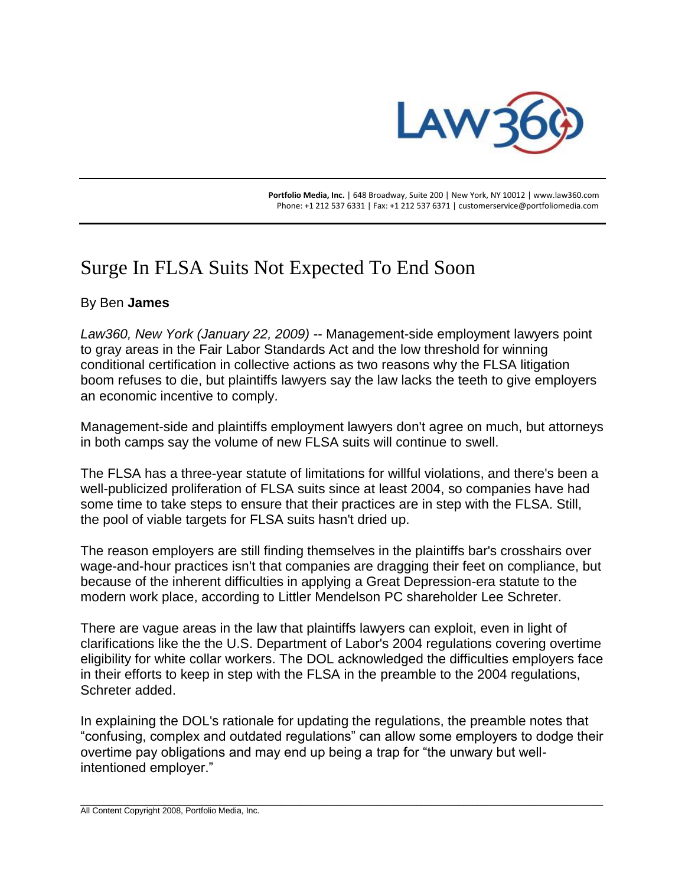

 **Portfolio Media, Inc.** | 648 Broadway, Suite 200 | New York, NY 10012 | www.law360.com Phone: +1 212 537 6331 | Fax: +1 212 537 6371 | customerservice@portfoliomedia.com

## Surge In FLSA Suits Not Expected To End Soon

## By Ben **James**

*Law360, New York (January 22, 2009)* -- Management-side employment lawyers point to gray areas in the Fair Labor Standards Act and the low threshold for winning conditional certification in collective actions as two reasons why the FLSA litigation boom refuses to die, but plaintiffs lawyers say the law lacks the teeth to give employers an economic incentive to comply.

Management-side and plaintiffs employment lawyers don't agree on much, but attorneys in both camps say the volume of new FLSA suits will continue to swell.

The FLSA has a three-year statute of limitations for willful violations, and there's been a well-publicized proliferation of FLSA suits since at least 2004, so companies have had some time to take steps to ensure that their practices are in step with the FLSA. Still, the pool of viable targets for FLSA suits hasn't dried up.

The reason employers are still finding themselves in the plaintiffs bar's crosshairs over wage-and-hour practices isn't that companies are dragging their feet on compliance, but because of the inherent difficulties in applying a Great Depression-era statute to the modern work place, according to Littler Mendelson PC shareholder Lee Schreter.

There are vague areas in the law that plaintiffs lawyers can exploit, even in light of clarifications like the the U.S. Department of Labor's 2004 regulations covering overtime eligibility for white collar workers. The DOL acknowledged the difficulties employers face in their efforts to keep in step with the FLSA in the preamble to the 2004 regulations, Schreter added.

In explaining the DOL's rationale for updating the regulations, the preamble notes that "confusing, complex and outdated regulations" can allow some employers to dodge their overtime pay obligations and may end up being a trap for "the unwary but wellintentioned employer."

\_\_\_\_\_\_\_\_\_\_\_\_\_\_\_\_\_\_\_\_\_\_\_\_\_\_\_\_\_\_\_\_\_\_\_\_\_\_\_\_\_\_\_\_\_\_\_\_\_\_\_\_\_\_\_\_\_\_\_\_\_\_\_\_\_\_\_\_\_\_\_\_\_\_\_\_\_\_\_\_\_\_\_\_\_\_\_\_\_\_\_\_\_\_\_\_\_\_\_\_\_\_\_\_\_\_\_\_\_\_\_\_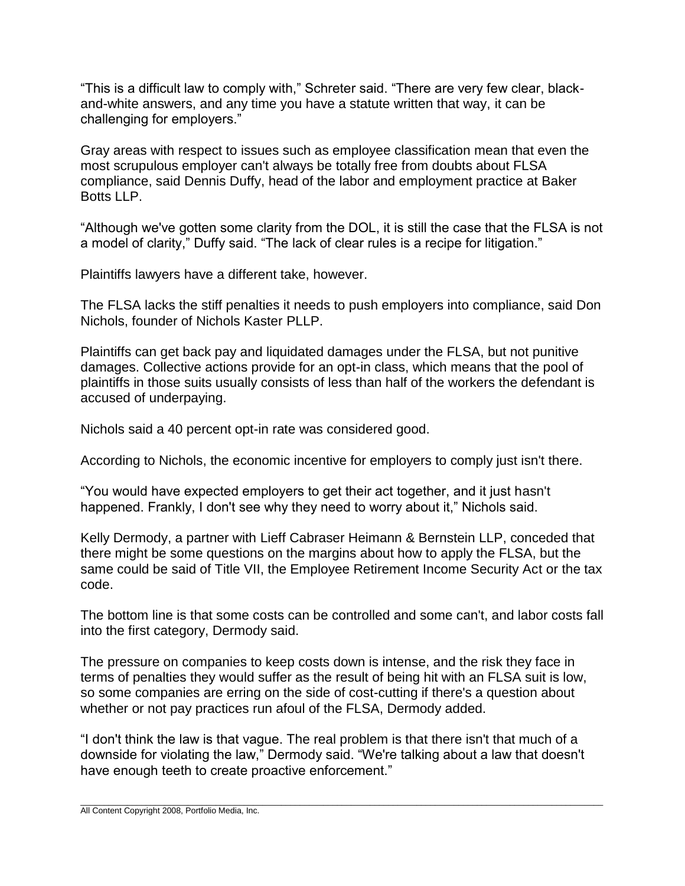"This is a difficult law to comply with," Schreter said. "There are very few clear, blackand-white answers, and any time you have a statute written that way, it can be challenging for employers."

Gray areas with respect to issues such as employee classification mean that even the most scrupulous employer can't always be totally free from doubts about FLSA compliance, said Dennis Duffy, head of the labor and employment practice at Baker Botts LLP.

"Although we've gotten some clarity from the DOL, it is still the case that the FLSA is not a model of clarity," Duffy said. "The lack of clear rules is a recipe for litigation."

Plaintiffs lawyers have a different take, however.

The FLSA lacks the stiff penalties it needs to push employers into compliance, said Don Nichols, founder of Nichols Kaster PLLP.

Plaintiffs can get back pay and liquidated damages under the FLSA, but not punitive damages. Collective actions provide for an opt-in class, which means that the pool of plaintiffs in those suits usually consists of less than half of the workers the defendant is accused of underpaying.

Nichols said a 40 percent opt-in rate was considered good.

According to Nichols, the economic incentive for employers to comply just isn't there.

"You would have expected employers to get their act together, and it just hasn't happened. Frankly, I don't see why they need to worry about it," Nichols said.

Kelly Dermody, a partner with Lieff Cabraser Heimann & Bernstein LLP, conceded that there might be some questions on the margins about how to apply the FLSA, but the same could be said of Title VII, the Employee Retirement Income Security Act or the tax code.

The bottom line is that some costs can be controlled and some can't, and labor costs fall into the first category, Dermody said.

The pressure on companies to keep costs down is intense, and the risk they face in terms of penalties they would suffer as the result of being hit with an FLSA suit is low, so some companies are erring on the side of cost-cutting if there's a question about whether or not pay practices run afoul of the FLSA, Dermody added.

"I don't think the law is that vague. The real problem is that there isn't that much of a downside for violating the law," Dermody said. "We're talking about a law that doesn't have enough teeth to create proactive enforcement."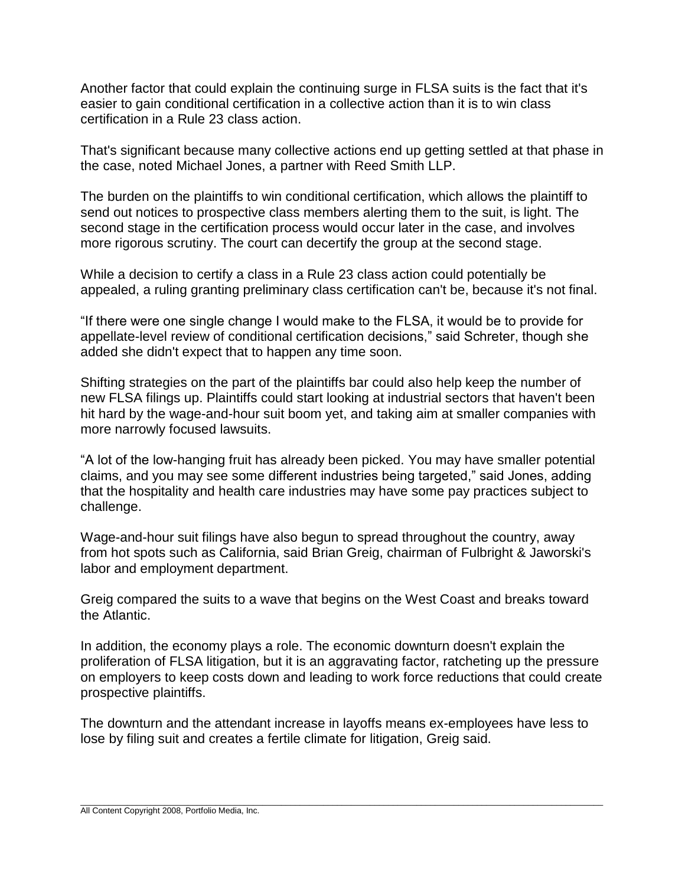Another factor that could explain the continuing surge in FLSA suits is the fact that it's easier to gain conditional certification in a collective action than it is to win class certification in a Rule 23 class action.

That's significant because many collective actions end up getting settled at that phase in the case, noted Michael Jones, a partner with Reed Smith LLP.

The burden on the plaintiffs to win conditional certification, which allows the plaintiff to send out notices to prospective class members alerting them to the suit, is light. The second stage in the certification process would occur later in the case, and involves more rigorous scrutiny. The court can decertify the group at the second stage.

While a decision to certify a class in a Rule 23 class action could potentially be appealed, a ruling granting preliminary class certification can't be, because it's not final.

"If there were one single change I would make to the FLSA, it would be to provide for appellate-level review of conditional certification decisions," said Schreter, though she added she didn't expect that to happen any time soon.

Shifting strategies on the part of the plaintiffs bar could also help keep the number of new FLSA filings up. Plaintiffs could start looking at industrial sectors that haven't been hit hard by the wage-and-hour suit boom yet, and taking aim at smaller companies with more narrowly focused lawsuits.

"A lot of the low-hanging fruit has already been picked. You may have smaller potential claims, and you may see some different industries being targeted," said Jones, adding that the hospitality and health care industries may have some pay practices subject to challenge.

Wage-and-hour suit filings have also begun to spread throughout the country, away from hot spots such as California, said Brian Greig, chairman of Fulbright & Jaworski's labor and employment department.

Greig compared the suits to a wave that begins on the West Coast and breaks toward the Atlantic.

In addition, the economy plays a role. The economic downturn doesn't explain the proliferation of FLSA litigation, but it is an aggravating factor, ratcheting up the pressure on employers to keep costs down and leading to work force reductions that could create prospective plaintiffs.

The downturn and the attendant increase in layoffs means ex-employees have less to lose by filing suit and creates a fertile climate for litigation, Greig said.